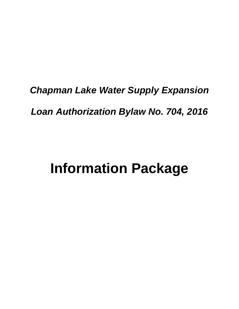# *Chapman Lake Water Supply Expansion*

*Loan Authorization Bylaw No. 704, 2016*

# **Information Package**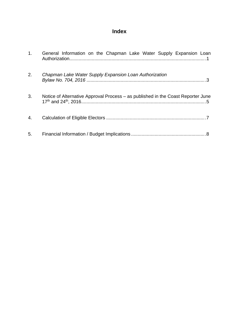### **Index**

| 1. | General Information on the Chapman Lake Water Supply Expansion Loan              |
|----|----------------------------------------------------------------------------------|
| 2. | Chapman Lake Water Supply Expansion Loan Authorization                           |
| 3. | Notice of Alternative Approval Process – as published in the Coast Reporter June |
| 4. |                                                                                  |
| 5. |                                                                                  |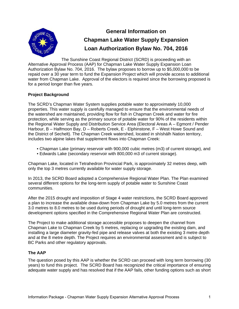<span id="page-4-0"></span>

## **General Information on Chapman Lake Water Supply Expansion Loan Authorization Bylaw No. 704, 2016**

The Sunshine Coast Regional District (SCRD) is proceeding with an Alternative Approval Process (AAP) for Chapman Lake Water Supply Expansion Loan Authorization Bylaw No. 704, 2016. The bylaw proposes to borrow up to \$5,000,000 to be repaid over a 30 year term to fund the Expansion Project which will provide access to additional water from Chapman Lake. Approval of the electors is required since the borrowing proposed is for a period longer than five years.

#### **Project Background**

The SCRD's Chapman Water System supplies potable water to approximately 10,000 properties. This water supply is carefully managed to ensure that the environmental needs of the watershed are maintained, providing flow for fish in Chapman Creek and water for fire protection, while serving as the primary source of potable water for 90% of the residents within the Regional Water Supply and Distribution Service Area (Electoral Areas A – Egmont / Pender Harbour, B – Halfmoon Bay, D – Roberts Creek, E - Elphinstone, F – West Howe Sound and the District of Sechelt). The Chapman Creek watershed, located in shíshálh Nation territory, includes two alpine lakes that supplement flows into Chapman Creek:

- Chapman Lake (primary reservoir with 900,000 cubic metres (m3) of current storage), and
- Edwards Lake (secondary reservoir with 800,000 m3 of current storage).

Chapman Lake, located in Tetrahedron Provincial Park, is approximately 32 metres deep, with only the top 3 metres currently available for water supply storage.

In 2013, the SCRD Board adopted a Comprehensive Regional Water Plan. The Plan examined several different options for the long-term supply of potable water to Sunshine Coast communities.

After the 2015 drought and imposition of Stage 4 water restrictions, the SCRD Board approved a plan to increase the available draw-down from Chapman Lake by 5.0 metres from the current 3.0 metres to 8.0 metres to be used during periods of drought and until long-term source development options specified in the Comprehensive Regional Water Plan are constructed.

The Project to make additional storage accessible proposes to deepen the channel from Chapman Lake to Chapman Creek by 5 metres, replacing or upgrading the existing dam, and installing a large diameter gravity-fed pipe and release valves at both the existing 3 metre depth and at the 8 metre depth. The Project requires an environmental assessment and is subject to BC Parks and other regulatory approvals.

#### **The AAP**

The question posed by this AAP is whether the SCRD can proceed with long term borrowing (30 years) to fund this project. The SCRD Board has recognized the critical importance of ensuring adequate water supply and has resolved that if the AAP fails, other funding options such as short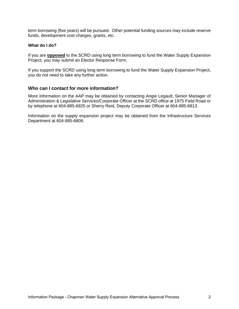term borrowing (five years) will be pursued. Other potential funding sources may include reserve funds, development cost charges, grants, etc.

#### **What do I do?**

If you are **opposed** to the SCRD using long term borrowing to fund the Water Supply Expansion Project, you may submit an Elector Response Form.

If you support the SCRD using long term borrowing to fund the Water Supply Expansion Project, you do not need to take any further action.

#### **Who can I contact for more information?**

More information on the AAP may be obtained by contacting Angie Legault, Senior Manager of Administration & Legislative Services/Corporate Officer at the SCRD office at 1975 Field Road or by telephone at 604-885-6825 or Sherry Reid, Deputy Corporate Officer at 604-885-6813.

Information on the supply expansion project may be obtained from the Infrastructure Services Department at 604-885-6806.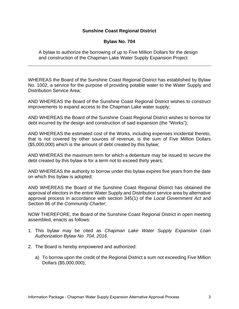#### **Sunshine Coast Regional District**

#### **Bylaw No. 704**

<span id="page-6-0"></span>A bylaw to authorize the borrowing of up to Five Million Dollars for the design and construction of the Chapman Lake Water Supply Expansion Project

WHEREAS the Board of the Sunshine Coast Regional District has established by Bylaw No. 1002, a service for the purpose of providing potable water to the Water Supply and Distribution Service Area;

AND WHEREAS the Board of the Sunshine Coast Regional District wishes to construct improvements to expand access to the Chapman Lake water supply;

AND WHEREAS the Board of the Sunshine Coast Regional District wishes to borrow for debt incurred by the design and construction of said expansion (the "Works");

AND WHEREAS the estimated cost of the Works, including expenses incidental thereto, that is not covered by other sources of revenue, is the sum of Five Million Dollars (\$5,000,000) which is the amount of debt created by this bylaw;

AND WHEREAS the maximum term for which a debenture may be issued to secure the debt created by this bylaw is for a term not to exceed thirty years;

AND WHEREAS the authority to borrow under this bylaw expires five years from the date on which this bylaw is adopted;

AND WHEREAS the Board of the Sunshine Coast Regional District has obtained the approval of electors in the entire Water Supply and Distribution service area by alternative approval process in accordance with section 345(1) of the *Local Government Act* and Section 86 of the *Community Charter*;

NOW THEREFORE, the Board of the Sunshine Coast Regional District in open meeting assembled, enacts as follows:

- 1. This bylaw may be cited as *Chapman Lake Water Supply Expansion Loan Authorization Bylaw No. 704, 2016*.
- 2. The Board is hereby empowered and authorized:
	- a) To borrow upon the credit of the Regional District a sum not exceeding Five Million Dollars (\$5,000,000);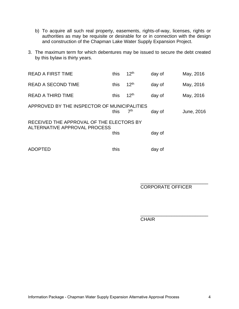- b) To acquire all such real property, easements, rights-of-way, licenses, rights or authorities as may be requisite or desirable for or in connection with the design and construction of the Chapman Lake Water Supply Expansion Project.
- 3. The maximum term for which debentures may be issued to secure the debt created by this bylaw is thirty years.

| <b>READ A FIRST TIME</b>                                                 | this | 12 <sup>th</sup> | day of | May, 2016  |  |  |  |  |
|--------------------------------------------------------------------------|------|------------------|--------|------------|--|--|--|--|
| <b>READ A SECOND TIME</b>                                                | this | 12 <sup>th</sup> | day of | May, 2016  |  |  |  |  |
| <b>READ A THIRD TIME</b>                                                 | this | 12 <sup>th</sup> | day of | May, 2016  |  |  |  |  |
| APPROVED BY THE INSPECTOR OF MUNICIPALITIES                              | this | 7 <sup>th</sup>  | day of | June, 2016 |  |  |  |  |
| RECEIVED THE APPROVAL OF THE ELECTORS BY<br>ALTERNATIVE APPROVAL PROCESS |      |                  |        |            |  |  |  |  |
|                                                                          | this |                  | day of |            |  |  |  |  |
| <b>ADOPTED</b>                                                           | this |                  | day of |            |  |  |  |  |

 $\overline{\phantom{a}}$  , which is a set of the contract of the contract of the contract of the contract of the contract of the contract of the contract of the contract of the contract of the contract of the contract of the contract

 $\overline{\phantom{a}}$  , which is a set of the contract of the contract of the contract of the contract of the contract of the contract of the contract of the contract of the contract of the contract of the contract of the contract CORPORATE OFFICER

CHAIR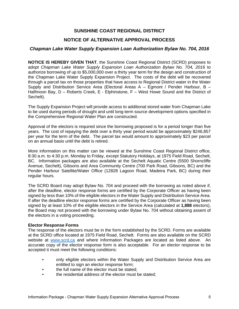#### **SUNSHINE COAST REGIONAL DISTRICT**

#### **NOTICE OF ALTERNATIVE APPROVAL PROCESS**

#### <span id="page-8-0"></span>*Chapman Lake Water Supply Expansion Loan Authorization Bylaw No. 704, 2016*

**NOTICE IS HEREBY GIVEN THAT**, the Sunshine Coast Regional District (SCRD) proposes to adopt *Chapman Lake Water Supply Expansion Loan Authorization Bylaw No. 704, 2016* to authorize borrowing of up to \$5,000,000 over a thirty year term for the design and construction of the Chapman Lake Water Supply Expansion Project. The costs of the debt will be recovered through a parcel tax on those properties that have access to Regional District water in the Water Supply and Distribution Service Area (Electoral Areas A – Egmont / Pender Harbour, B – Halfmoon Bay, D - Roberts Creek, E - Elphinstone, F - West Howe Sound and the District of Sechelt).

The Supply Expansion Project will provide access to additional stored water from Chapman Lake to be used during periods of drought and until long-term source development options specified in the Comprehensive Regional Water Plan are constructed.

Approval of the electors is required since the borrowing proposed is for a period longer than five years. The cost of repaying the debt over a thirty year period would be approximately \$246,857 per year for the term of the debt. The parcel tax would amount to approximately \$23 per parcel on an annual basis until the debt is retired.

More information on this matter can be viewed at the Sunshine Coast Regional District office, 8:30 a.m. to 4:30 p.m. Monday to Friday, except Statutory Holidays, at 1975 Field Road, Sechelt, BC. Information packages are also available at the Sechelt Aquatic Centre (5500 Shorncliffe Avenue, Sechelt), Gibsons and Area Community Centre (700 Park Road, Gibsons, BC) and the Pender Harbour Satellite/Water Office (12828 Lagoon Road, Madeira Park, BC) during their regular hours.

The SCRD Board may adopt Bylaw No. 704 and proceed with the borrowing as noted above if, after the deadline, elector response forms are certified by the Corporate Officer as having been signed by less than 10% of the eligible electors in the Water Supply and Distribution Service Area. If after the deadline elector response forms are certified by the Corporate Officer as having been signed by at least 10% of the eligible electors in the Service Area (calculated at **1,888** electors), the Board may not proceed with the borrowing under Bylaw No. 704 without obtaining assent of the electors in a voting proceeding.

#### **Elector Response Forms**

The response of the electors must be in the form established by the SCRD. Forms are available at the SCRD office located at 1975 Field Road, Sechelt. Forms are also available on the SCRD website at www.scrd.ca and where Information Packages are located as listed above. An accurate copy of the elector response form is also acceptable. For an elector response to be accepted it must meet the following conditions:

- only eligible electors within the Water Supply and Distribution Service Area are entitled to sign an elector response form;
- the full name of the elector must be stated;
- the residential address of the elector must be stated: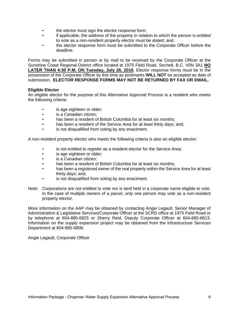- the elector must sign the elector response form;
- if applicable, the address of the property in relation to which the person is entitled to vote as a non-resident property elector must be stated; and,
- the elector response form must be submitted to the Corporate Officer before the deadline.

Forms may be submitted in person or by mail to be received by the Corporate Officer at the Sunshine Coast Regional District office located at 1975 Field Road, Sechelt, B.C. V0N 3A1 **NO LATER THAN 4:30 P.M. ON Tuesday, July 26, 2016**. Elector response forms must be in the possession of the Corporate Officer by this time as postmarks **WILL NOT** be accepted as date of submission. **ELECTOR RESPONSE FORMS MAY NOT BE RETURNED BY FAX OR EMAIL.** 

#### **Eligible Elector**

An eligible elector for the purpose of this Alternative Approval Process is a resident who meets the following criteria:

- is age eighteen or older;
- is a Canadian citizen;
- has been a resident of British Columbia for at least six months;
- has been a resident of the Service Area for at least thirty days; and,
- is not disqualified from voting by any enactment.

A non-resident property elector who meets the following criteria is also an eligible elector:

- is not entitled to register as a resident elector for the Service Area;
- is age eighteen or older;
- is a Canadian citizen:
- has been a resident of British Columbia for at least six months;
- has been a registered owner of the real property within the Service Area for at least thirty days; and,
- is not disqualified from voting by any enactment.
- Note: Corporations are not entitled to vote nor is land held in a corporate name eligible to vote. In the case of multiple owners of a parcel, only one person may vote as a non-resident property elector.

More information on the AAP may be obtained by contacting Angie Legault, Senior Manager of Administration & Legislative Services/Corporate Officer at the SCRD office at 1975 Field Road or by telephone at 604-885-6825 or Sherry Reid, Deputy Corporate Officer at 604-885-6813. Information on the supply expansion project may be obtained from the Infrastructure Services Department at 604-885-6806.

Angie Legault, Corporate Officer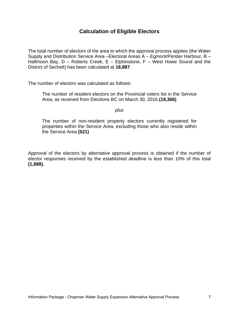#### **Calculation of Eligible Electors**

<span id="page-10-0"></span>The total number of electors of the area to which the approval process applies (the Water Supply and Distribution Service Area –Electoral Areas A – Egmont/Pender Harbour, B – Halfmoon Bay,  $D$  – Roberts Creek,  $E$  – Elphinstone,  $F$  – West Howe Sound and the District of Sechelt) has been calculated at **18,887**.

The number of electors was calculated as follows:

The number of resident electors on the Provincial voters list in the Service Area, as received from Elections BC on March 30, 2016 **(18,366)**

#### *plus*

The number of non-resident property electors currently registered for properties within the Service Area, excluding those who also reside within the Service Area **(521)**

Approval of the electors by alternative approval process is obtained if the number of elector responses received by the established deadline is less than 10% of this total **(1,888).**